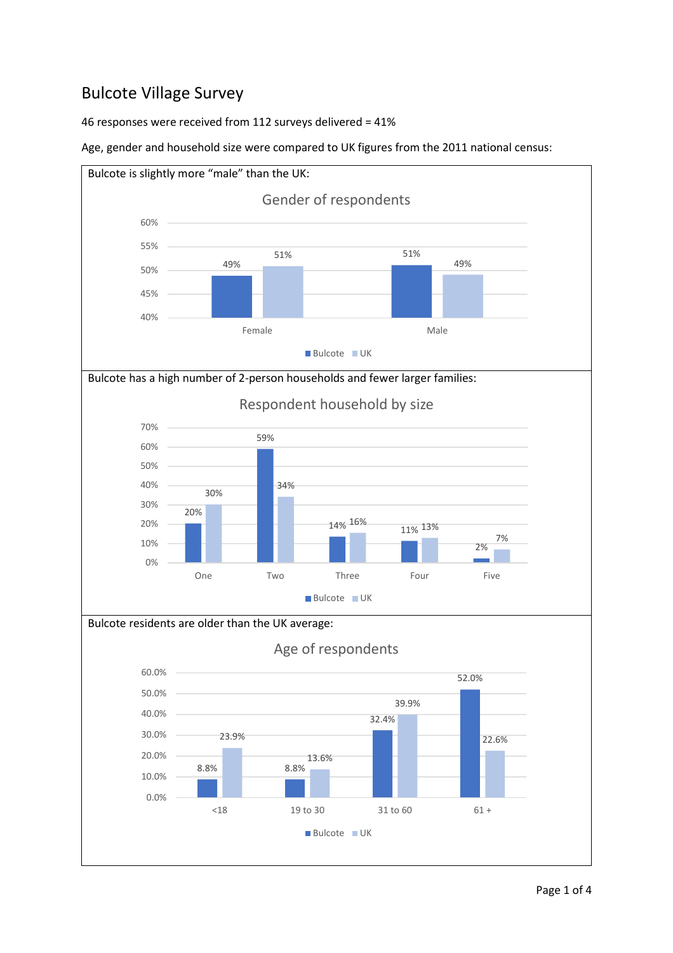## Bulcote Village Survey

46 responses were received from 112 surveys delivered = 41%

Age, gender and household size were compared to UK figures from the 2011 national census:

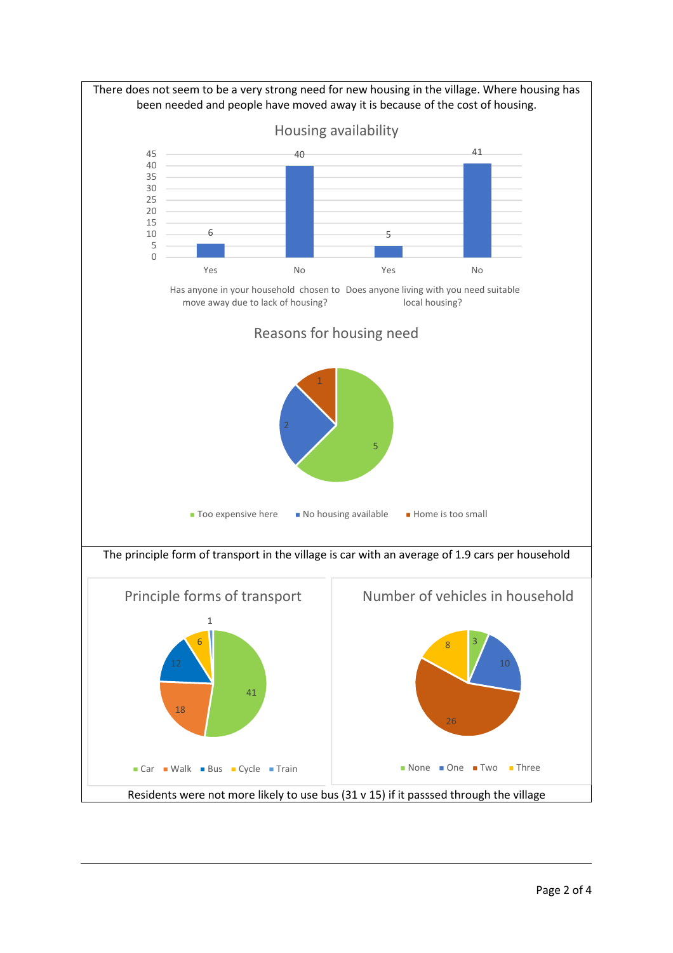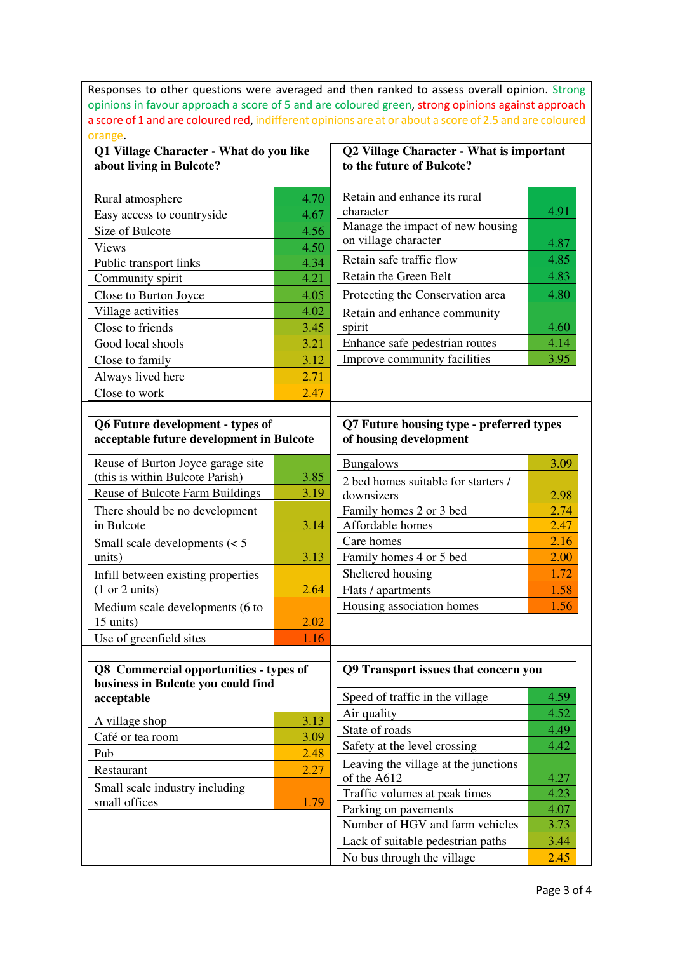Responses to other questions were averaged and then ranked to assess overall opinion. Strong opinions in favour approach a score of 5 and are coloured green, strong opinions against approach a score of 1 and are coloured red, indifferent opinions are at or about a score of 2.5 and are coloured orange.

| Q1 Village Character - What do you like<br>about living in Bulcote?           |      | Q2 Village Character - What is important<br>to the future of Bulcote? |      |
|-------------------------------------------------------------------------------|------|-----------------------------------------------------------------------|------|
| Rural atmosphere                                                              | 4.70 | Retain and enhance its rural                                          |      |
| Easy access to countryside                                                    | 4.67 | character                                                             | 4.91 |
| Size of Bulcote                                                               | 4.56 | Manage the impact of new housing                                      |      |
| <b>Views</b>                                                                  | 4.50 | on village character                                                  | 4.87 |
| Public transport links                                                        | 4.34 | Retain safe traffic flow                                              | 4.85 |
| Community spirit                                                              | 4.21 | Retain the Green Belt                                                 | 4.83 |
| Close to Burton Joyce                                                         | 4.05 | Protecting the Conservation area                                      | 4.80 |
| Village activities                                                            | 4.02 | Retain and enhance community                                          |      |
| Close to friends                                                              | 3.45 | spirit                                                                | 4.60 |
| Good local shools                                                             | 3.21 | Enhance safe pedestrian routes                                        | 4.14 |
| Close to family                                                               | 3.12 | Improve community facilities                                          | 3.95 |
| Always lived here                                                             | 2.71 |                                                                       |      |
| Close to work                                                                 | 2.47 |                                                                       |      |
| acceptable future development in Bulcote<br>Reuse of Burton Joyce garage site |      | of housing development<br><b>Bungalows</b>                            | 3.09 |
| (this is within Bulcote Parish)                                               | 3.85 |                                                                       |      |
| Reuse of Bulcote Farm Buildings                                               | 3.19 | 2 bed homes suitable for starters /<br>downsizers                     | 2.98 |
| There should be no development                                                |      | Family homes 2 or 3 bed                                               | 2.74 |
| in Bulcote                                                                    | 3.14 | Affordable homes                                                      | 2.47 |
| Small scale developments $(< 5$                                               |      | Care homes                                                            | 2.16 |
| units)                                                                        | 3.13 | Family homes 4 or 5 bed                                               | 2.00 |
| Infill between existing properties                                            |      | Sheltered housing                                                     | 1.72 |
| (1 or 2 units)                                                                | 2.64 | Flats / apartments                                                    | 1.58 |
| Medium scale developments (6 to<br>15 units)                                  | 2.02 | Housing association homes                                             | 1.56 |
| Use of greenfield sites                                                       | 1.16 |                                                                       |      |
|                                                                               |      |                                                                       |      |
| Q8 Commercial opportunities - types of<br>business in Bulcote you could find  |      | Q9 Transport issues that concern you                                  |      |
| acceptable                                                                    |      | Speed of traffic in the village                                       | 4.59 |
| A village shop                                                                | 3.13 | Air quality                                                           | 4.52 |
| Café or tea room                                                              | 3.09 | State of roads                                                        | 4.49 |
| Pub                                                                           | 2.48 | Safety at the level crossing                                          | 4.42 |
| Restaurant                                                                    | 2.27 | Leaving the village at the junctions<br>of the A612                   | 4.27 |
| Small scale industry including                                                |      | Traffic volumes at peak times                                         | 4.23 |
| small offices                                                                 | 1.79 | Parking on pavements                                                  | 4.07 |
|                                                                               |      | Number of HGV and farm vehicles                                       | 3.73 |
|                                                                               |      | Lack of suitable pedestrian paths                                     | 3.44 |
|                                                                               |      | No bus through the village                                            | 2.45 |